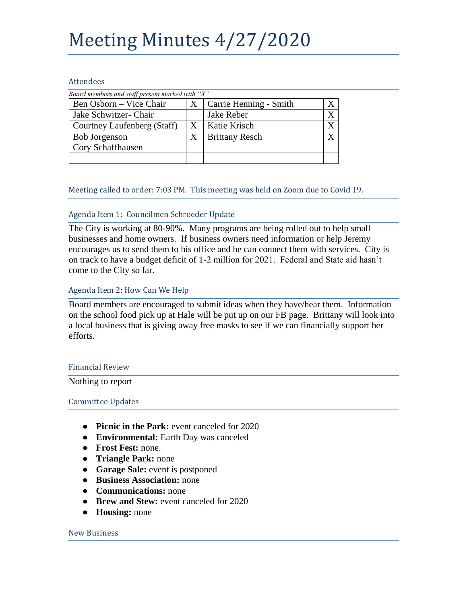# Meeting Minutes 4/27/2020

### Attendees

| Board members and staff present marked with "X" |   |                        |  |
|-------------------------------------------------|---|------------------------|--|
| Ben Osborn – Vice Chair                         | X | Carrie Henning - Smith |  |
| Jake Schwitzer- Chair                           |   | Jake Reber             |  |
| Courtney Laufenberg (Staff)                     | Χ | Katie Krisch           |  |
| <b>Bob Jorgenson</b>                            | X | <b>Brittany Resch</b>  |  |
| Cory Schaffhausen                               |   |                        |  |
|                                                 |   |                        |  |

Meeting called to order: 7:03 PM. This meeting was held on Zoom due to Covid 19.

# Agenda Item 1: Councilmen Schroeder Update

The City is working at 80-90%. Many programs are being rolled out to help small businesses and home owners. If business owners need information or help Jeremy encourages us to send them to his office and he can connect them with services. City is on track to have a budget deficit of 1-2 million for 2021. Federal and State aid hasn't come to the City so far.

# Agenda Item 2: How Can We Help

Board members are encouraged to submit ideas when they have/hear them. Information on the school food pick up at Hale will be put up on our FB page. Brittany will look into a local business that is giving away free masks to see if we can financially support her efforts.

# Financial Review

Nothing to report

# Committee Updates

- **Picnic in the Park:** event canceled for 2020
- **Environmental:** Earth Day was canceled
- **Frost Fest:** none.
- **Triangle Park:** none
- **Garage Sale:** event is postponed
- **Business Association:** none
- **Communications:** none
- **Brew and Stew:** event canceled for 2020
- **Housing:** none

#### New Business